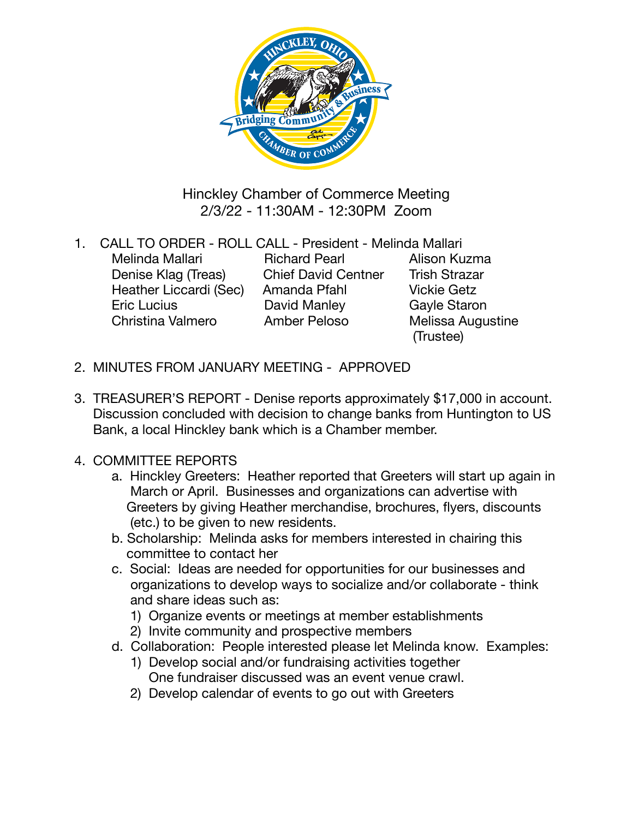

Hinckley Chamber of Commerce Meeting 2/3/22 - 11:30AM - 12:30PM Zoom

- 1. CALL TO ORDER ROLL CALL President Melinda Mallari Melinda Mallari **Brichard Pearl Alison Kuzma** Denise Klag (Treas) Chief David Centner Trish Strazar Heather Liccardi (Sec) Amanda Pfahl Vickie Getz Eric Lucius **David Manley** Gayle Staron Christina Valmero Amber Peloso Melissa Augustine (Trustee)
- 2. MINUTES FROM JANUARY MEETING APPROVED
- 3. TREASURER'S REPORT Denise reports approximately \$17,000 in account. Discussion concluded with decision to change banks from Huntington to US Bank, a local Hinckley bank which is a Chamber member.
- 4. COMMITTEE REPORTS
	- a. Hinckley Greeters: Heather reported that Greeters will start up again in March or April. Businesses and organizations can advertise with Greeters by giving Heather merchandise, brochures, flyers, discounts (etc.) to be given to new residents.
	- b. Scholarship: Melinda asks for members interested in chairing this committee to contact her
	- c. Social: Ideas are needed for opportunities for our businesses and organizations to develop ways to socialize and/or collaborate - think and share ideas such as:
		- 1) Organize events or meetings at member establishments
		- 2) Invite community and prospective members
	- d. Collaboration: People interested please let Melinda know. Examples:
		- 1) Develop social and/or fundraising activities together One fundraiser discussed was an event venue crawl.
		- 2) Develop calendar of events to go out with Greeters